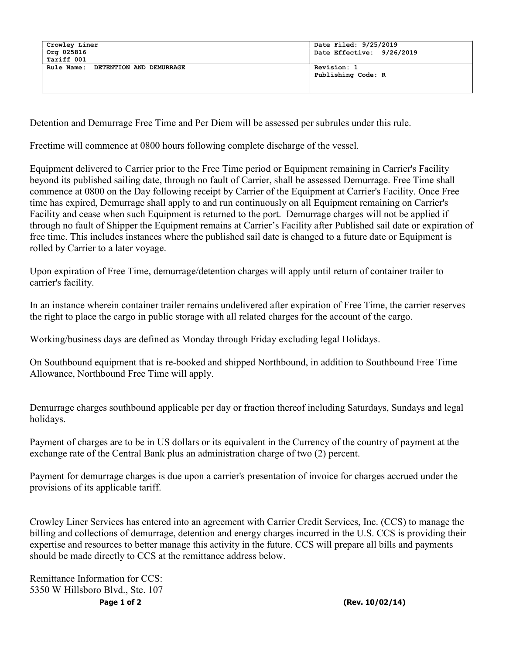| Crowley Liner                         | Date Filed: 9/25/2019     |
|---------------------------------------|---------------------------|
| Org 025816                            | Date Effective: 9/26/2019 |
| Tariff 001                            |                           |
| Rule Name:<br>DETENTION AND DEMURRAGE | Revision: 1               |
|                                       | Publishing Code: R        |
|                                       |                           |
|                                       |                           |

Detention and Demurrage Free Time and Per Diem will be assessed per subrules under this rule.

Freetime will commence at 0800 hours following complete discharge of the vessel.

Equipment delivered to Carrier prior to the Free Time period or Equipment remaining in Carrier's Facility beyond its published sailing date, through no fault of Carrier, shall be assessed Demurrage. Free Time shall commence at 0800 on the Day following receipt by Carrier of the Equipment at Carrier's Facility. Once Free time has expired, Demurrage shall apply to and run continuously on all Equipment remaining on Carrier's Facility and cease when such Equipment is returned to the port. Demurrage charges will not be applied if through no fault of Shipper the Equipment remains at Carrier's Facility after Published sail date or expiration of free time. This includes instances where the published sail date is changed to a future date or Equipment is rolled by Carrier to a later voyage.

Upon expiration of Free Time, demurrage/detention charges will apply until return of container trailer to carrier's facility.

In an instance wherein container trailer remains undelivered after expiration of Free Time, the carrier reserves the right to place the cargo in public storage with all related charges for the account of the cargo.

Working/business days are defined as Monday through Friday excluding legal Holidays.

On Southbound equipment that is re-booked and shipped Northbound, in addition to Southbound Free Time Allowance, Northbound Free Time will apply.

Demurrage charges southbound applicable per day or fraction thereof including Saturdays, Sundays and legal holidays.

Payment of charges are to be in US dollars or its equivalent in the Currency of the country of payment at the exchange rate of the Central Bank plus an administration charge of two (2) percent.

Payment for demurrage charges is due upon a carrier's presentation of invoice for charges accrued under the provisions of its applicable tariff.

Crowley Liner Services has entered into an agreement with Carrier Credit Services, Inc. (CCS) to manage the billing and collections of demurrage, detention and energy charges incurred in the U.S. CCS is providing their expertise and resources to better manage this activity in the future. CCS will prepare all bills and payments should be made directly to CCS at the remittance address below.

Remittance Information for CCS: 5350 W Hillsboro Blvd., Ste. 107